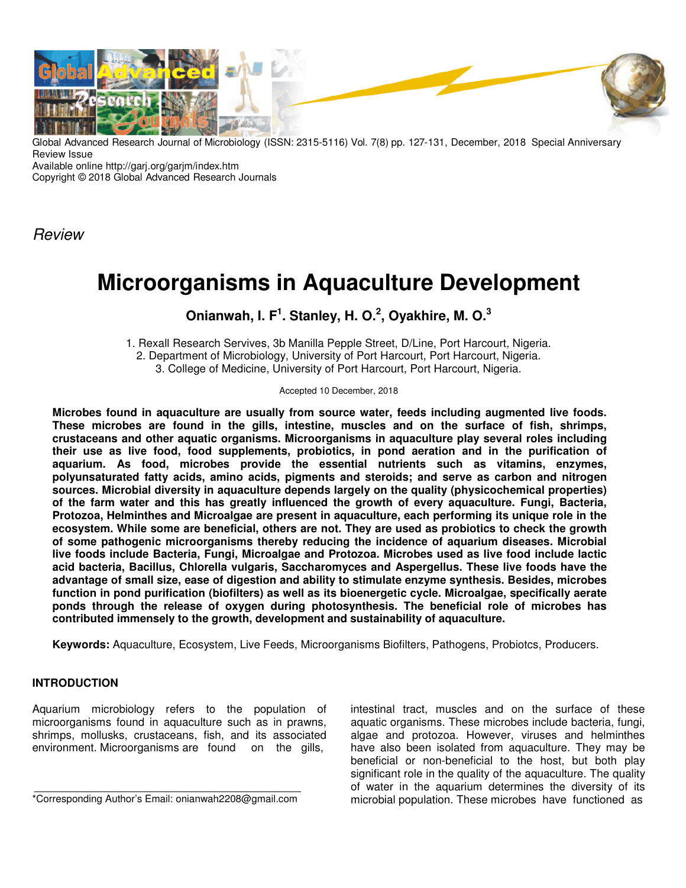

Global Advanced Research Journal of Microbiology (ISSN: 2315-5116) Vol. 7(8) pp. 127-131, December, 2018 Special Anniversary Review Issue

Available online http://garj.org/garjm/index.htm

Copyright © 2018 Global Advanced Research Journals

**Review** 

# **Microorganisms in Aquaculture Development**

## **Onianwah, I. F<sup>1</sup> . Stanley, H. O.<sup>2</sup> , Oyakhire, M. O.<sup>3</sup>**

1. Rexall Research Servives, 3b Manilla Pepple Street, D/Line, Port Harcourt, Nigeria. 2. Department of Microbiology, University of Port Harcourt, Port Harcourt, Nigeria. 3. College of Medicine, University of Port Harcourt, Port Harcourt, Nigeria.

Accepted 10 December, 2018

**Microbes found in aquaculture are usually from source water, feeds including augmented live foods. These microbes are found in the gills, intestine, muscles and on the surface of fish, shrimps, crustaceans and other aquatic organisms. Microorganisms in aquaculture play several roles including their use as live food, food supplements, probiotics, in pond aeration and in the purification of aquarium. As food, microbes provide the essential nutrients such as vitamins, enzymes, polyunsaturated fatty acids, amino acids, pigments and steroids; and serve as carbon and nitrogen sources. Microbial diversity in aquaculture depends largely on the quality (physicochemical properties) of the farm water and this has greatly influenced the growth of every aquaculture. Fungi, Bacteria, Protozoa, Helminthes and Microalgae are present in aquaculture, each performing its unique role in the ecosystem. While some are beneficial, others are not. They are used as probiotics to check the growth of some pathogenic microorganisms thereby reducing the incidence of aquarium diseases. Microbial live foods include Bacteria, Fungi, Microalgae and Protozoa. Microbes used as live food include lactic acid bacteria, Bacillus, Chlorella vulgaris, Saccharomyces and Aspergellus. These live foods have the advantage of small size, ease of digestion and ability to stimulate enzyme synthesis. Besides, microbes function in pond purification (biofilters) as well as its bioenergetic cycle. Microalgae, specifically aerate ponds through the release of oxygen during photosynthesis. The beneficial role of microbes has contributed immensely to the growth, development and sustainability of aquaculture.** 

**Keywords:** Aquaculture, Ecosystem, Live Feeds, Microorganisms Biofilters, Pathogens, Probiotcs, Producers.

### **INTRODUCTION**

Aquarium microbiology refers to the population of microorganisms found in aquaculture such as in prawns, shrimps, mollusks, crustaceans, fish, and its associated environment. Microorganisms are found on the gills,

\*Corresponding Author's Email: onianwah2208@gmail.com

intestinal tract, muscles and on the surface of these aquatic organisms. These microbes include bacteria, fungi, algae and protozoa. However, viruses and helminthes have also been isolated from aquaculture. They may be beneficial or non-beneficial to the host, but both play significant role in the quality of the aquaculture. The quality of water in the aquarium determines the diversity of its microbial population. These microbes have functioned as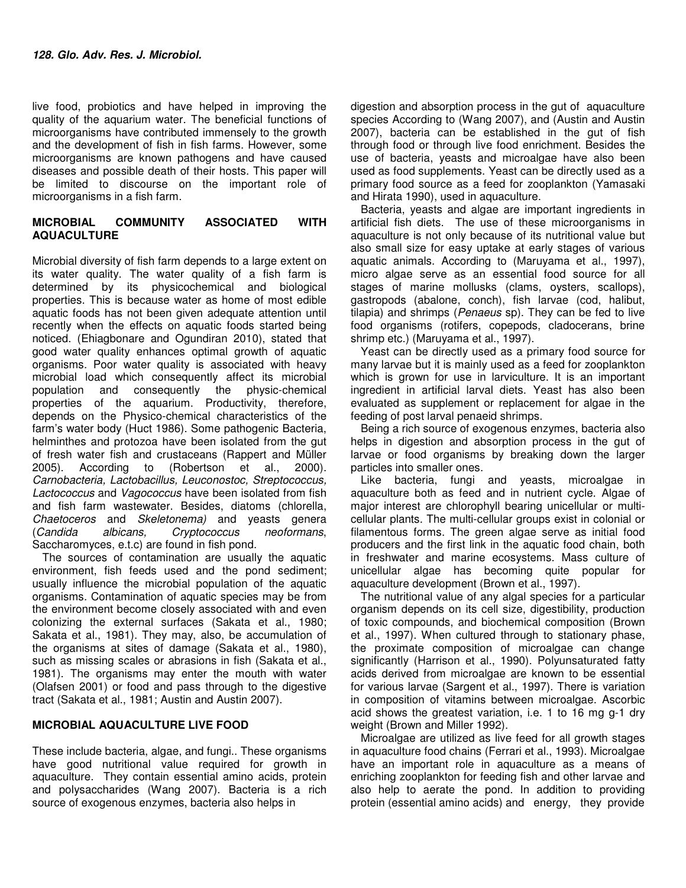live food, probiotics and have helped in improving the quality of the aquarium water. The beneficial functions of microorganisms have contributed immensely to the growth and the development of fish in fish farms. However, some microorganisms are known pathogens and have caused diseases and possible death of their hosts. This paper will be limited to discourse on the important role of microorganisms in a fish farm.

#### **MICROBIAL COMMUNITY ASSOCIATED WITH AQUACULTURE**

Microbial diversity of fish farm depends to a large extent on its water quality. The water quality of a fish farm is determined by its physicochemical and biological properties. This is because water as home of most edible aquatic foods has not been given adequate attention until recently when the effects on aquatic foods started being noticed. (Ehiagbonare and Ogundiran 2010), stated that good water quality enhances optimal growth of aquatic organisms. Poor water quality is associated with heavy microbial load which consequently affect its microbial population and consequently the physic-chemical properties of the aquarium. Productivity, therefore, depends on the Physico-chemical characteristics of the farm's water body (Huct 1986). Some pathogenic Bacteria, helminthes and protozoa have been isolated from the gut of fresh water fish and crustaceans (Rappert and Müller 2005). According to (Robertson et al., 2000). Carnobacteria, Lactobacillus, Leuconostoc, Streptococcus, Lactococcus and Vagococcus have been isolated from fish and fish farm wastewater. Besides, diatoms (chlorella, Chaetoceros and Skeletonema) and yeasts genera (Candida albicans, Cryptococcus neoformans, Saccharomyces, e.t.c) are found in fish pond.

The sources of contamination are usually the aquatic environment, fish feeds used and the pond sediment; usually influence the microbial population of the aquatic organisms. Contamination of aquatic species may be from the environment become closely associated with and even colonizing the external surfaces (Sakata et al., 1980; Sakata et al., 1981). They may, also, be accumulation of the organisms at sites of damage (Sakata et al., 1980), such as missing scales or abrasions in fish (Sakata et al., 1981). The organisms may enter the mouth with water (Olafsen 2001) or food and pass through to the digestive tract (Sakata et al., 1981; Austin and Austin 2007).

#### **MICROBIAL AQUACULTURE LIVE FOOD**

These include bacteria, algae, and fungi.. These organisms have good nutritional value required for growth in aquaculture. They contain essential amino acids, protein and polysaccharides (Wang 2007). Bacteria is a rich source of exogenous enzymes, bacteria also helps in

digestion and absorption process in the gut of aquaculture species According to (Wang 2007), and (Austin and Austin 2007), bacteria can be established in the gut of fish through food or through live food enrichment. Besides the use of bacteria, yeasts and microalgae have also been used as food supplements. Yeast can be directly used as a primary food source as a feed for zooplankton (Yamasaki and Hirata 1990), used in aquaculture.

Bacteria, yeasts and algae are important ingredients in artificial fish diets. The use of these microorganisms in aquaculture is not only because of its nutritional value but also small size for easy uptake at early stages of various aquatic animals. According to (Maruyama et al., 1997), micro algae serve as an essential food source for all stages of marine mollusks (clams, oysters, scallops), gastropods (abalone, conch), fish larvae (cod, halibut, tilapia) and shrimps (Penaeus sp). They can be fed to live food organisms (rotifers, copepods, cladocerans, brine shrimp etc.) (Maruyama et al., 1997).

Yeast can be directly used as a primary food source for many larvae but it is mainly used as a feed for zooplankton which is grown for use in larviculture. It is an important ingredient in artificial larval diets. Yeast has also been evaluated as supplement or replacement for algae in the feeding of post larval penaeid shrimps.

Being a rich source of exogenous enzymes, bacteria also helps in digestion and absorption process in the gut of larvae or food organisms by breaking down the larger particles into smaller ones.

Like bacteria, fungi and yeasts, microalgae in aquaculture both as feed and in nutrient cycle. Algae of major interest are chlorophyll bearing unicellular or multicellular plants. The multi-cellular groups exist in colonial or filamentous forms. The green algae serve as initial food producers and the first link in the aquatic food chain, both in freshwater and marine ecosystems. Mass culture of unicellular algae has becoming quite popular for aquaculture development (Brown et al., 1997).

The nutritional value of any algal species for a particular organism depends on its cell size, digestibility, production of toxic compounds, and biochemical composition (Brown et al., 1997). When cultured through to stationary phase, the proximate composition of microalgae can change significantly (Harrison et al., 1990). Polyunsaturated fatty acids derived from microalgae are known to be essential for various larvae (Sargent et al., 1997). There is variation in composition of vitamins between microalgae. Ascorbic acid shows the greatest variation, i.e. 1 to 16 mg g-1 dry weight (Brown and Miller 1992).

Microalgae are utilized as live feed for all growth stages in aquaculture food chains (Ferrari et al., 1993). Microalgae have an important role in aquaculture as a means of enriching zooplankton for feeding fish and other larvae and also help to aerate the pond. In addition to providing protein (essential amino acids) and energy, they provide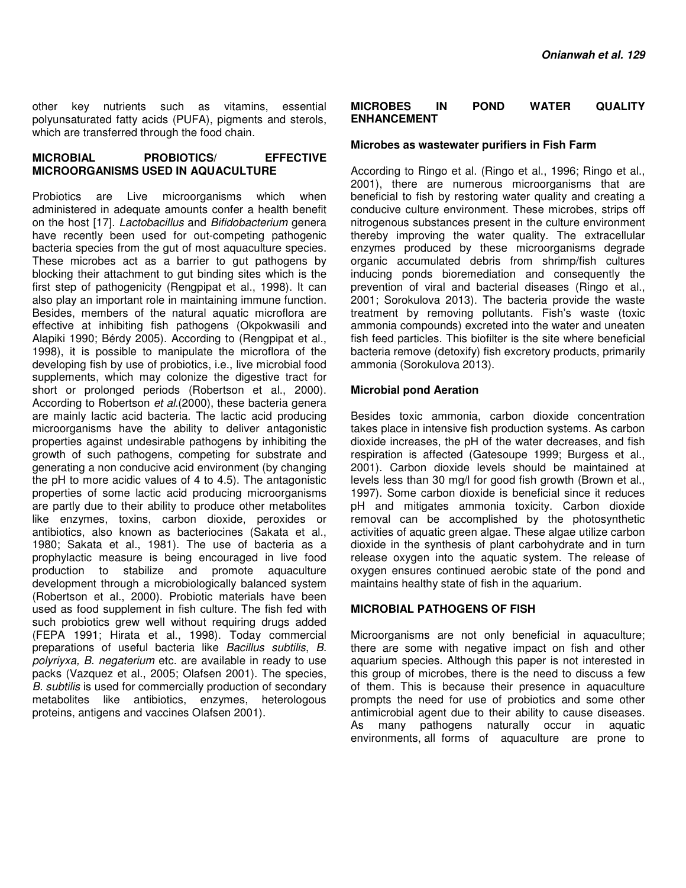other key nutrients such as vitamins, essential polyunsaturated fatty acids (PUFA), pigments and sterols, which are transferred through the food chain.

#### **MICROBIAL PROBIOTICS/ EFFECTIVE MICROORGANISMS USED IN AQUACULTURE**

Probiotics are Live microorganisms which when administered in adequate amounts confer a health benefit on the host [17]. Lactobacillus and Bifidobacterium genera have recently been used for out-competing pathogenic bacteria species from the gut of most aquaculture species. These microbes act as a barrier to gut pathogens by blocking their attachment to gut binding sites which is the first step of pathogenicity (Rengpipat et al., 1998). It can also play an important role in maintaining immune function. Besides, members of the natural aquatic microflora are effective at inhibiting fish pathogens (Okpokwasili and Alapiki 1990; Bérdy 2005). According to (Rengpipat et al., 1998), it is possible to manipulate the microflora of the developing fish by use of probiotics, i.e., live microbial food supplements, which may colonize the digestive tract for short or prolonged periods (Robertson et al., 2000). According to Robertson et al. (2000), these bacteria genera are mainly lactic acid bacteria. The lactic acid producing microorganisms have the ability to deliver antagonistic properties against undesirable pathogens by inhibiting the growth of such pathogens, competing for substrate and generating a non conducive acid environment (by changing the pH to more acidic values of 4 to 4.5). The antagonistic properties of some lactic acid producing microorganisms are partly due to their ability to produce other metabolites like enzymes, toxins, carbon dioxide, peroxides or antibiotics, also known as bacteriocines (Sakata et al., 1980; Sakata et al., 1981). The use of bacteria as a prophylactic measure is being encouraged in live food production to stabilize and promote aquaculture development through a microbiologically balanced system (Robertson et al., 2000). Probiotic materials have been used as food supplement in fish culture. The fish fed with such probiotics grew well without requiring drugs added (FEPA 1991; Hirata et al., 1998). Today commercial preparations of useful bacteria like Bacillus subtilis, B. polyriyxa, B. negaterium etc. are available in ready to use packs (Vazquez et al., 2005; Olafsen 2001). The species, B. subtilis is used for commercially production of secondary metabolites like antibiotics, enzymes, heterologous proteins, antigens and vaccines Olafsen 2001).

#### **MICROBES IN POND WATER QUALITY ENHANCEMENT**

#### **Microbes as wastewater purifiers in Fish Farm**

According to Ringo et al. (Ringo et al., 1996; Ringo et al., 2001), there are numerous microorganisms that are beneficial to fish by restoring water quality and creating a conducive culture environment. These microbes, strips off nitrogenous substances present in the culture environment thereby improving the water quality. The extracellular enzymes produced by these microorganisms degrade organic accumulated debris from shrimp/fish cultures inducing ponds bioremediation and consequently the prevention of viral and bacterial diseases (Ringo et al., 2001; Sorokulova 2013). The bacteria provide the waste treatment by removing pollutants. Fish's waste (toxic ammonia compounds) excreted into the water and uneaten fish feed particles. This biofilter is the site where beneficial bacteria remove (detoxify) fish excretory products, primarily ammonia (Sorokulova 2013).

#### **Microbial pond Aeration**

Besides toxic ammonia, carbon dioxide concentration takes place in intensive fish production systems. As carbon dioxide increases, the pH of the water decreases, and fish respiration is affected (Gatesoupe 1999; Burgess et al., 2001). Carbon dioxide levels should be maintained at levels less than 30 mg/l for good fish growth (Brown et al., 1997). Some carbon dioxide is beneficial since it reduces pH and mitigates ammonia toxicity. Carbon dioxide removal can be accomplished by the photosynthetic activities of aquatic green algae. These algae utilize carbon dioxide in the synthesis of plant carbohydrate and in turn release oxygen into the aquatic system. The release of oxygen ensures continued aerobic state of the pond and maintains healthy state of fish in the aquarium.

#### **MICROBIAL PATHOGENS OF FISH**

Microorganisms are not only beneficial in aquaculture; there are some with negative impact on fish and other aquarium species. Although this paper is not interested in this group of microbes, there is the need to discuss a few of them. This is because their presence in aquaculture prompts the need for use of probiotics and some other antimicrobial agent due to their ability to cause diseases. As many pathogens naturally occur in aquatic environments, all forms of aquaculture are prone to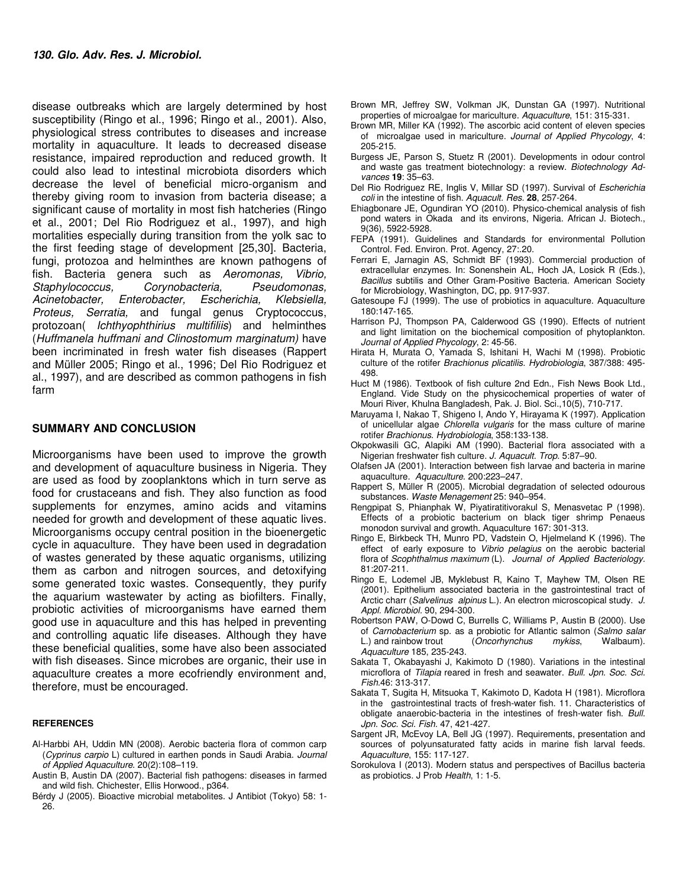disease outbreaks which are largely determined by host susceptibility (Ringo et al., 1996; Ringo et al., 2001). Also, physiological stress contributes to diseases and increase mortality in aquaculture. It leads to decreased disease resistance, impaired reproduction and reduced growth. It could also lead to intestinal microbiota disorders which decrease the level of beneficial micro-organism and thereby giving room to invasion from bacteria disease; a significant cause of mortality in most fish hatcheries (Ringo et al., 2001; Del Rio Rodriguez et al., 1997), and high mortalities especially during transition from the yolk sac to the first feeding stage of development [25,30]. Bacteria, fungi, protozoa and helminthes are known pathogens of fish. Bacteria genera such as Aeromonas, Vibrio, Staphylococcus, Corynobacteria, Pseudomonas, Acinetobacter, Enterobacter, Escherichia, Klebsiella, Proteus, Serratia, and fungal genus Cryptococcus, protozoan( *Ichthyophthirius multifiliis*) and helminthes (Huffmanela huffmani and Clinostomum marginatum) have been incriminated in fresh water fish diseases (Rappert and Müller 2005; Ringo et al., 1996; Del Rio Rodriguez et al., 1997), and are described as common pathogens in fish farm

#### **SUMMARY AND CONCLUSION**

Microorganisms have been used to improve the growth and development of aquaculture business in Nigeria. They are used as food by zooplanktons which in turn serve as food for crustaceans and fish. They also function as food supplements for enzymes, amino acids and vitamins needed for growth and development of these aquatic lives. Microorganisms occupy central position in the bioenergetic cycle in aquaculture. They have been used in degradation of wastes generated by these aquatic organisms, utilizing them as carbon and nitrogen sources, and detoxifying some generated toxic wastes. Consequently, they purify the aquarium wastewater by acting as biofilters. Finally, probiotic activities of microorganisms have earned them good use in aquaculture and this has helped in preventing and controlling aquatic life diseases. Although they have these beneficial qualities, some have also been associated with fish diseases. Since microbes are organic, their use in aquaculture creates a more ecofriendly environment and, therefore, must be encouraged.

#### **REFERENCES**

- Al-Harbbi AH, Uddin MN (2008). Aerobic bacteria flora of common carp (Cyprinus carpio L) cultured in earthen ponds in Saudi Arabia. Journal of Applied Aquaculture. 20(2):108–119.
- Austin B, Austin DA (2007). Bacterial fish pathogens: diseases in farmed and wild fish. Chichester, Ellis Horwood., p364.
- Bérdy J (2005). Bioactive microbial metabolites. J Antibiot (Tokyo) 58: 1- 26.
- Brown MR, Jeffrey SW, Volkman JK, Dunstan GA (1997). Nutritional properties of microalgae for mariculture. Aquaculture, 151: 315-331.
- Brown MR, Miller KA (1992). The ascorbic acid content of eleven species of microalgae used in mariculture. Journal of Applied Phycology, 4: 205-215.
- Burgess JE, Parson S, Stuetz R (2001). Developments in odour control and waste gas treatment biotechnology: a review. Biotechnology Advances **19**: 35–63.
- Del Rio Rodriguez RE, Inglis V, Millar SD (1997). Survival of Escherichia coli in the intestine of fish. Aquacult. Res. **28**, 257-264.
- Ehiagbonare JE, Ogundiran YO (2010). Physico-chemical analysis of fish pond waters in Okada and its environs, Nigeria. African J. Biotech., 9(36), 5922-5928.
- FEPA (1991). Guidelines and Standards for environmental Pollution Control. Fed. Environ. Prot. Agency, 27:.20.
- Ferrari E, Jarnagin AS, Schmidt BF (1993). Commercial production of extracellular enzymes. In: Sonenshein AL, Hoch JA, Losick R (Eds.), Bacillus subtilis and Other Gram-Positive Bacteria. American Society for Microbiology, Washington, DC, pp. 917-937.
- Gatesoupe FJ (1999). The use of probiotics in aquaculture. Aquaculture 180:147-165.
- Harrison PJ, Thompson PA, Calderwood GS (1990). Effects of nutrient and light limitation on the biochemical composition of phytoplankton. Journal of Applied Phycology, 2: 45-56.
- Hirata H, Murata O, Yamada S, Ishitani H, Wachi M (1998). Probiotic culture of the rotifer Brachionus plicatilis. Hydrobiologia, 387/388: 495-498.
- Huct M (1986). Textbook of fish culture 2nd Edn., Fish News Book Ltd., England. Vide Study on the physicochemical properties of water of Mouri River, Khulna Bangladesh, Pak. J. Biol. Sci.,10(5), 710-717.
- Maruyama I, Nakao T, Shigeno I, Ando Y, Hirayama K (1997). Application of unicellular algae Chlorella vulgaris for the mass culture of marine rotifer Brachionus. Hydrobiologia, 358:133-138.
- Okpokwasili GC, Alapiki AM (1990). Bacterial flora associated with a Nigerian freshwater fish culture. J. Aquacult. Trop. 5:87–90.
- Olafsen JA (2001). Interaction between fish larvae and bacteria in marine aquaculture. Aquaculture. 200:223–247.
- Rappert S, Müller R (2005). Microbial degradation of selected odourous substances. Waste Menagement 25: 940–954.
- Rengpipat S, Phianphak W, Piyatiratitivorakul S, Menasvetac P (1998). Effects of a probiotic bacterium on black tiger shrimp Penaeus monodon survival and growth. Aquaculture 167: 301-313.
- Ringo E, Birkbeck TH, Munro PD, Vadstein O, Hjelmeland K (1996). The effect of early exposure to Vibrio pelagius on the aerobic bacterial flora of Scophthalmus maximum (L). Journal of Applied Bacteriology. 81:207-211.
- Ringo E, Lodemel JB, Myklebust R, Kaino T, Mayhew TM, Olsen RE (2001). Epithelium associated bacteria in the gastrointestinal tract of Arctic charr (Salvelinus alpinus L.). An electron microscopical study. J. Appl. Microbiol. 90, 294-300.
- Robertson PAW, O-Dowd C, Burrells C, Williams P, Austin B (2000). Use of Carnobacterium sp. as a probiotic for Atlantic salmon (Salmo salar L.) and rainbow trout (Oncorhynchus mykiss, Walbaum). Aquaculture 185, 235-243.
- Sakata T, Okabayashi J, Kakimoto D (1980). Variations in the intestinal microflora of Tilapia reared in fresh and seawater. Bull. Jpn. Soc. Sci. Fish.46: 313-317.
- Sakata T, Sugita H, Mitsuoka T, Kakimoto D, Kadota H (1981). Microflora in the gastrointestinal tracts of fresh-water fish. 11. Characteristics of obligate anaerobic-bacteria in the intestines of fresh-water fish. Bull. Jpn. Soc. Sci. Fish. 47, 421-427.
- Sargent JR, McEvoy LA, Bell JG (1997). Requirements, presentation and sources of polyunsaturated fatty acids in marine fish larval feeds. Aquaculture, 155: 117-127.
- Sorokulova I (2013). Modern status and perspectives of Bacillus bacteria as probiotics. J Prob Health, 1: 1-5.